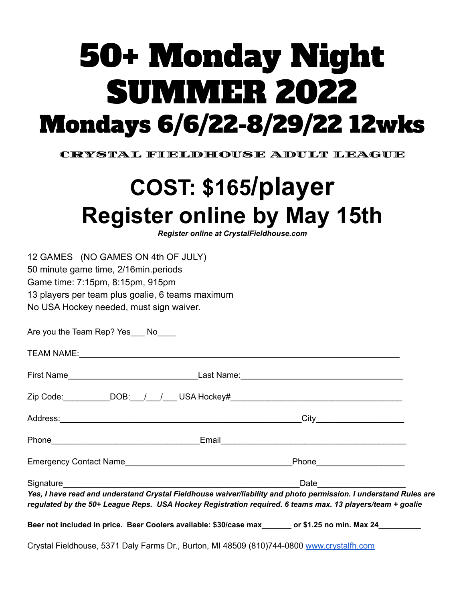# 50+ Monday Night SUMMER 2022 Mondays 6/6/22-8/29/22 12wks

CRYSTAL FIELDHOUSE ADULT LEAGUE

## **COST: \$165/player Register online by May 15th**

*Register online at CrystalFieldhouse.com*

12 GAMES (NO GAMES ON 4th OF JULY) 50 minute game time, 2/16min.periods Game time: 7:15pm, 8:15pm, 915pm 13 players per team plus goalie, 6 teams maximum No USA Hockey needed, must sign waiver.

Are you the Team Rep? Yes No TEAM NAME:\_\_\_\_\_\_\_\_\_\_\_\_\_\_\_\_\_\_\_\_\_\_\_\_\_\_\_\_\_\_\_\_\_\_\_\_\_\_\_\_\_\_\_\_\_\_\_\_\_\_\_\_\_\_\_\_\_\_\_\_\_\_\_\_\_\_\_\_\_ First Name\_\_\_\_\_\_\_\_\_\_\_\_\_\_\_\_\_\_\_\_\_\_\_\_\_\_\_\_Last Name:\_\_\_\_\_\_\_\_\_\_\_\_\_\_\_\_\_\_\_\_\_\_\_\_\_\_\_\_\_\_\_\_\_\_\_

| Zip Code:                |            | DOB: / / USA Hockey# |      |  |
|--------------------------|------------|----------------------|------|--|
| Address:                 |            |                      | Citv |  |
| Phone                    |            | Email                |      |  |
| $\overline{\phantom{0}}$ | __________ |                      | --   |  |

| <b>Emergency Contact Name</b> |  | Phone |
|-------------------------------|--|-------|
|                               |  |       |

| Signature<br>--<br>ำเ⊢<br>uu |
|------------------------------|
|------------------------------|

*Yes, I have read and understand Crystal Fieldhouse waiver/liability and photo permission. I understand Rules are regulated by the 50+ League Reps. USA Hockey Registration required. 6 teams max. 13 players/team + goalie*

**Beer not included in price. Beer Coolers available: \$30/case max\_\_\_\_\_\_\_ or \$1.25 no min. Max 24\_\_\_\_\_\_\_\_\_\_**

Crystal Fieldhouse, 5371 Daly Farms Dr., Burton, MI 48509 (810)744-0800 [www.crystalfh.com](http://www.crystalfh.com)